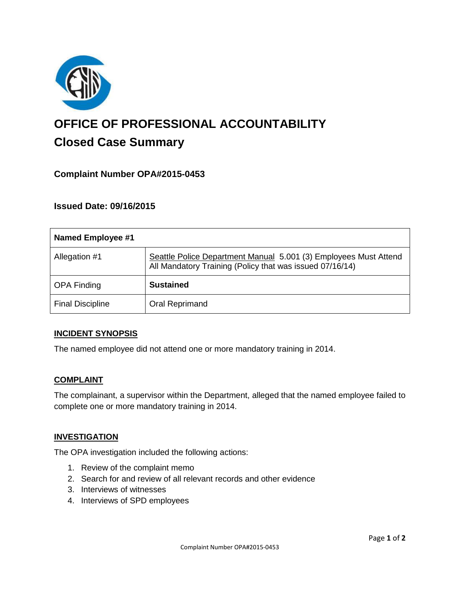

# **OFFICE OF PROFESSIONAL ACCOUNTABILITY Closed Case Summary**

# **Complaint Number OPA#2015-0453**

## **Issued Date: 09/16/2015**

| <b>Named Employee #1</b> |                                                                                                                              |
|--------------------------|------------------------------------------------------------------------------------------------------------------------------|
| Allegation #1            | Seattle Police Department Manual 5.001 (3) Employees Must Attend<br>All Mandatory Training (Policy that was issued 07/16/14) |
| <b>OPA Finding</b>       | <b>Sustained</b>                                                                                                             |
| <b>Final Discipline</b>  | Oral Reprimand                                                                                                               |

#### **INCIDENT SYNOPSIS**

The named employee did not attend one or more mandatory training in 2014.

#### **COMPLAINT**

The complainant, a supervisor within the Department, alleged that the named employee failed to complete one or more mandatory training in 2014.

#### **INVESTIGATION**

The OPA investigation included the following actions:

- 1. Review of the complaint memo
- 2. Search for and review of all relevant records and other evidence
- 3. Interviews of witnesses
- 4. Interviews of SPD employees